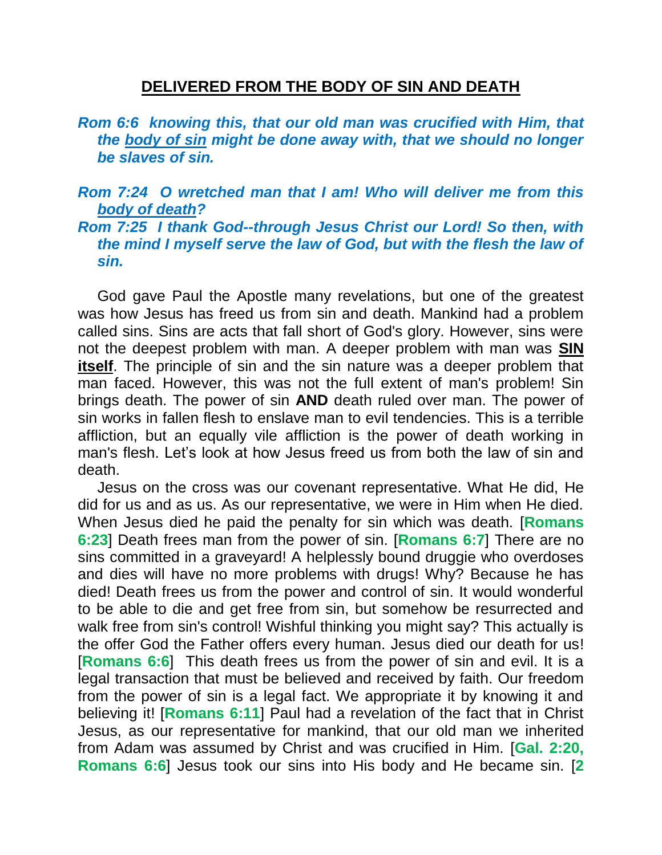## **DELIVERED FROM THE BODY OF SIN AND DEATH**

- *Rom 6:6 knowing this, that our old man was crucified with Him, that the body of sin might be done away with, that we should no longer be slaves of sin.*
- *Rom 7:24 O wretched man that I am! Who will deliver me from this body of death?*
- *Rom 7:25 I thank God--through Jesus Christ our Lord! So then, with the mind I myself serve the law of God, but with the flesh the law of sin.*

God gave Paul the Apostle many revelations, but one of the greatest was how Jesus has freed us from sin and death. Mankind had a problem called sins. Sins are acts that fall short of God's glory. However, sins were not the deepest problem with man. A deeper problem with man was **SIN itself**. The principle of sin and the sin nature was a deeper problem that man faced. However, this was not the full extent of man's problem! Sin brings death. The power of sin **AND** death ruled over man. The power of sin works in fallen flesh to enslave man to evil tendencies. This is a terrible affliction, but an equally vile affliction is the power of death working in man's flesh. Let's look at how Jesus freed us from both the law of sin and death.

Jesus on the cross was our covenant representative. What He did, He did for us and as us. As our representative, we were in Him when He died. When Jesus died he paid the penalty for sin which was death. [**Romans 6:23**] Death frees man from the power of sin. [**Romans 6:7**] There are no sins committed in a graveyard! A helplessly bound druggie who overdoses and dies will have no more problems with drugs! Why? Because he has died! Death frees us from the power and control of sin. It would wonderful to be able to die and get free from sin, but somehow be resurrected and walk free from sin's control! Wishful thinking you might say? This actually is the offer God the Father offers every human. Jesus died our death for us! [**Romans 6:6**] This death frees us from the power of sin and evil. It is a legal transaction that must be believed and received by faith. Our freedom from the power of sin is a legal fact. We appropriate it by knowing it and believing it! [**Romans 6:11**] Paul had a revelation of the fact that in Christ Jesus, as our representative for mankind, that our old man we inherited from Adam was assumed by Christ and was crucified in Him. [**Gal. 2:20, Romans 6:6**] Jesus took our sins into His body and He became sin. [**2**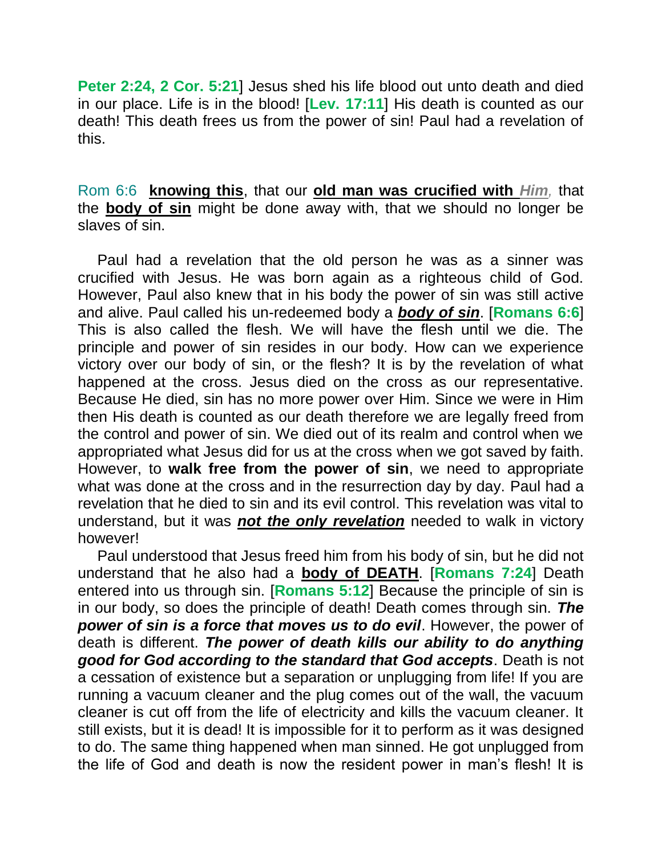**Peter 2:24, 2 Cor. 5:21**] Jesus shed his life blood out unto death and died in our place. Life is in the blood! [**Lev. 17:11**] His death is counted as our death! This death frees us from the power of sin! Paul had a revelation of this.

Rom 6:6 **knowing this**, that our **old man was crucified with** *Him,* that the **body of sin** might be done away with, that we should no longer be slaves of sin.

Paul had a revelation that the old person he was as a sinner was crucified with Jesus. He was born again as a righteous child of God. However, Paul also knew that in his body the power of sin was still active and alive. Paul called his un-redeemed body a *body of sin*. [**Romans 6:6**] This is also called the flesh. We will have the flesh until we die. The principle and power of sin resides in our body. How can we experience victory over our body of sin, or the flesh? It is by the revelation of what happened at the cross. Jesus died on the cross as our representative. Because He died, sin has no more power over Him. Since we were in Him then His death is counted as our death therefore we are legally freed from the control and power of sin. We died out of its realm and control when we appropriated what Jesus did for us at the cross when we got saved by faith. However, to **walk free from the power of sin**, we need to appropriate what was done at the cross and in the resurrection day by day. Paul had a revelation that he died to sin and its evil control. This revelation was vital to understand, but it was *not the only revelation* needed to walk in victory however!

Paul understood that Jesus freed him from his body of sin, but he did not understand that he also had a **body of DEATH**. [**Romans 7:24**] Death entered into us through sin. [**Romans 5:12**] Because the principle of sin is in our body, so does the principle of death! Death comes through sin. *The power of sin is a force that moves us to do evil*. However, the power of death is different. *The power of death kills our ability to do anything good for God according to the standard that God accepts*. Death is not a cessation of existence but a separation or unplugging from life! If you are running a vacuum cleaner and the plug comes out of the wall, the vacuum cleaner is cut off from the life of electricity and kills the vacuum cleaner. It still exists, but it is dead! It is impossible for it to perform as it was designed to do. The same thing happened when man sinned. He got unplugged from the life of God and death is now the resident power in man's flesh! It is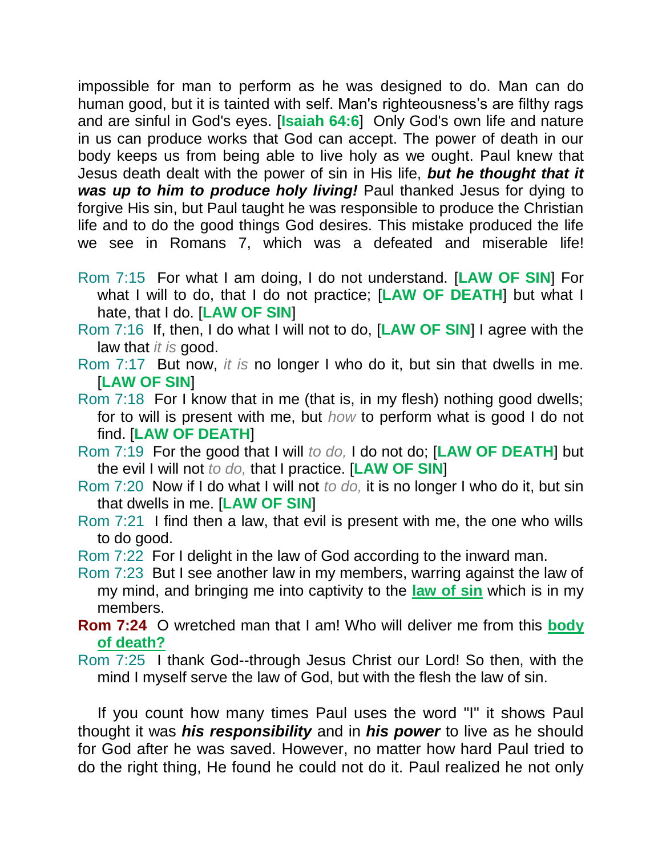impossible for man to perform as he was designed to do. Man can do human good, but it is tainted with self. Man's righteousness's are filthy rags and are sinful in God's eyes. [**Isaiah 64:6**] Only God's own life and nature in us can produce works that God can accept. The power of death in our body keeps us from being able to live holy as we ought. Paul knew that Jesus death dealt with the power of sin in His life, *but he thought that it was up to him to produce holy living!* Paul thanked Jesus for dying to forgive His sin, but Paul taught he was responsible to produce the Christian life and to do the good things God desires. This mistake produced the life we see in Romans 7, which was a defeated and miserable life!

- Rom 7:15 For what I am doing, I do not understand. [**LAW OF SIN**] For what I will to do, that I do not practice; [**LAW OF DEATH**] but what I hate, that I do. [**LAW OF SIN**]
- Rom 7:16 If, then, I do what I will not to do, [**LAW OF SIN**] I agree with the law that *it is* good.
- Rom 7:17 But now, *it is* no longer I who do it, but sin that dwells in me. [**LAW OF SIN**]
- Rom 7:18 For I know that in me (that is, in my flesh) nothing good dwells; for to will is present with me, but *how* to perform what is good I do not find. [**LAW OF DEATH**]
- Rom 7:19 For the good that I will *to do,* I do not do; [**LAW OF DEATH**] but the evil I will not *to do,* that I practice. [**LAW OF SIN**]
- Rom 7:20 Now if I do what I will not *to do,* it is no longer I who do it, but sin that dwells in me. [**LAW OF SIN**]
- Rom 7:21 I find then a law, that evil is present with me, the one who wills to do good.
- Rom 7:22 For I delight in the law of God according to the inward man.
- Rom 7:23 But I see another law in my members, warring against the law of my mind, and bringing me into captivity to the **law of sin** which is in my members.
- **Rom 7:24** O wretched man that I am! Who will deliver me from this **body of death?**
- Rom 7:25 I thank God--through Jesus Christ our Lord! So then, with the mind I myself serve the law of God, but with the flesh the law of sin.

If you count how many times Paul uses the word "I" it shows Paul thought it was *his responsibility* and in *his power* to live as he should for God after he was saved. However, no matter how hard Paul tried to do the right thing, He found he could not do it. Paul realized he not only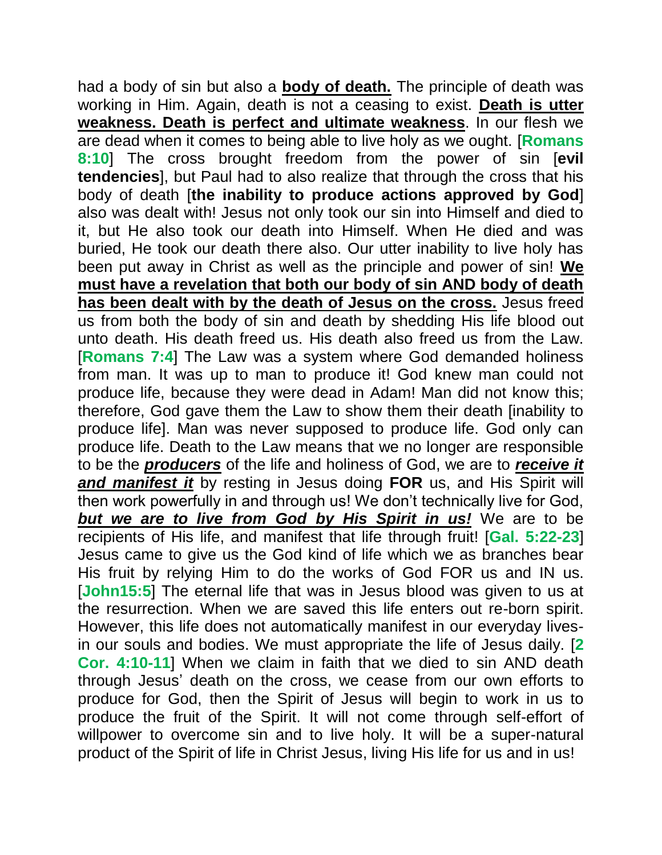had a body of sin but also a **body of death.** The principle of death was working in Him. Again, death is not a ceasing to exist. **Death is utter weakness. Death is perfect and ultimate weakness**. In our flesh we are dead when it comes to being able to live holy as we ought. [**Romans 8:10**] The cross brought freedom from the power of sin [**evil tendencies**], but Paul had to also realize that through the cross that his body of death [**the inability to produce actions approved by God**] also was dealt with! Jesus not only took our sin into Himself and died to it, but He also took our death into Himself. When He died and was buried, He took our death there also. Our utter inability to live holy has been put away in Christ as well as the principle and power of sin! **We must have a revelation that both our body of sin AND body of death has been dealt with by the death of Jesus on the cross.** Jesus freed us from both the body of sin and death by shedding His life blood out unto death. His death freed us. His death also freed us from the Law. [**Romans 7:4**] The Law was a system where God demanded holiness from man. It was up to man to produce it! God knew man could not produce life, because they were dead in Adam! Man did not know this; therefore, God gave them the Law to show them their death [inability to produce life]. Man was never supposed to produce life. God only can produce life. Death to the Law means that we no longer are responsible to be the *producers* of the life and holiness of God, we are to *receive it and manifest it* by resting in Jesus doing **FOR** us, and His Spirit will then work powerfully in and through us! We don't technically live for God, *but we are to live from God by His Spirit in us!* We are to be recipients of His life, and manifest that life through fruit! [**Gal. 5:22-23**] Jesus came to give us the God kind of life which we as branches bear His fruit by relying Him to do the works of God FOR us and IN us. [John15:5] The eternal life that was in Jesus blood was given to us at the resurrection. When we are saved this life enters out re-born spirit. However, this life does not automatically manifest in our everyday livesin our souls and bodies. We must appropriate the life of Jesus daily. [**2 Cor. 4:10-11**] When we claim in faith that we died to sin AND death through Jesus' death on the cross, we cease from our own efforts to produce for God, then the Spirit of Jesus will begin to work in us to produce the fruit of the Spirit. It will not come through self-effort of willpower to overcome sin and to live holy. It will be a super-natural product of the Spirit of life in Christ Jesus, living His life for us and in us!